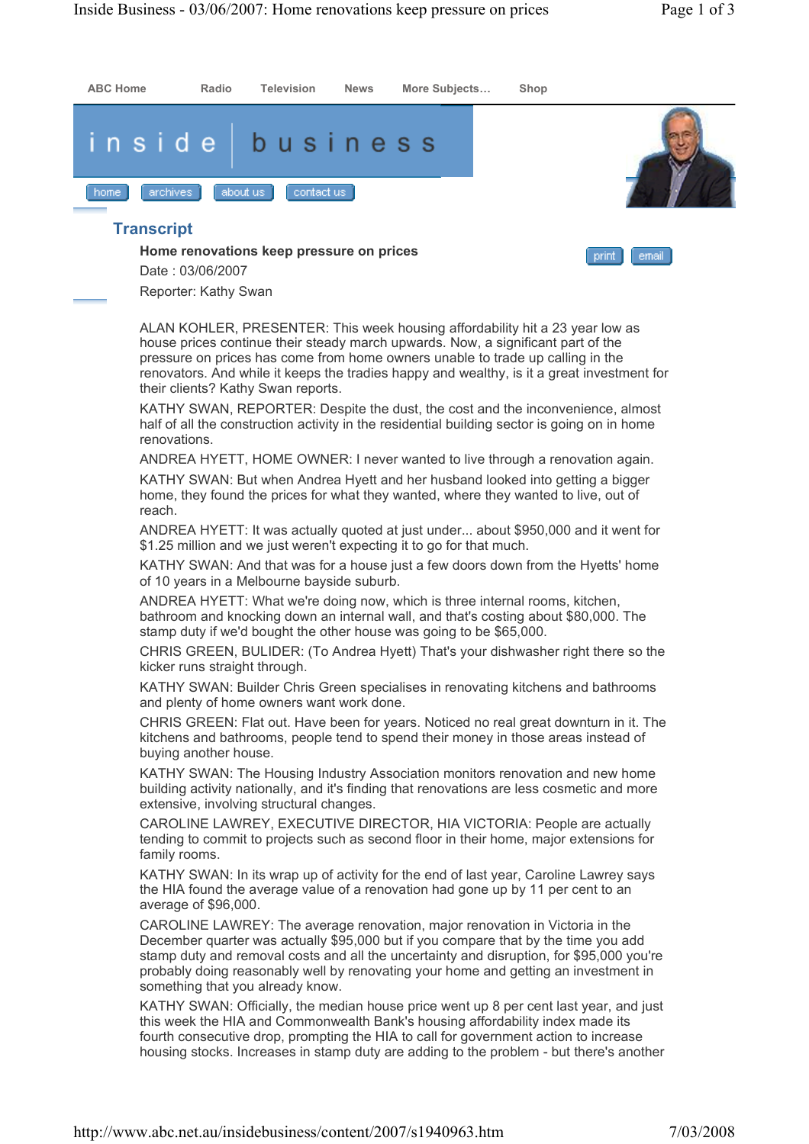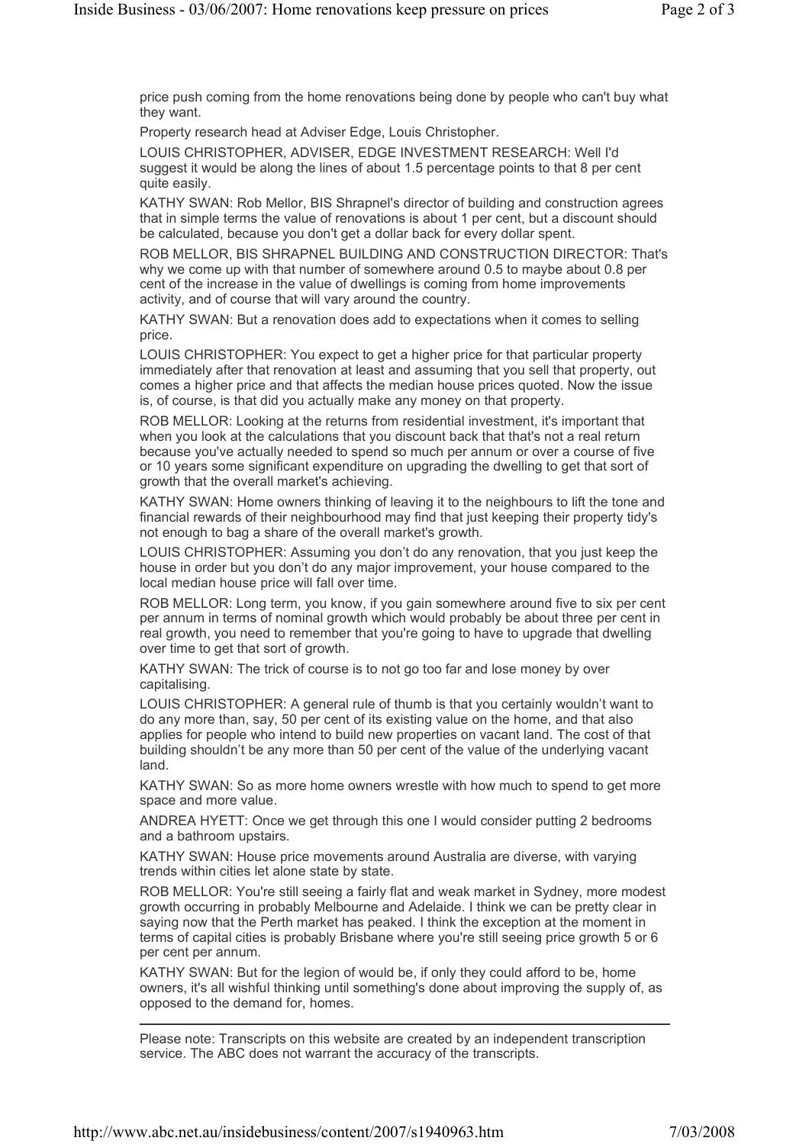price push coming from the home renovations being done by people who can't buy what they want.

Property research head at Adviser Edge, Louis Christopher.

LOUIS CHRISTOPHER, ADVISER, EDGE INVESTMENT RESEARCH: Well I'd suggest it would be along the lines of about 1.5 percentage points to that 8 per cent quite easily.

KATHY SWAN: Rob Mellor, BIS Shrapnel's director of building and construction agrees that in simple terms the value of renovations is about 1 per cent, but a discount should be calculated, because you don't get a dollar back for every dollar spent.

ROB MELLOR, BIS SHRAPNEL BUILDING AND CONSTRUCTION DIRECTOR: That's why we come up with that number of somewhere around 0.5 to maybe about 0.8 per cent of the increase in the value of dwellings is coming from home improvements activity, and of course that will vary around the country.

KATHY SWAN: But a renovation does add to expectations when it comes to selling price.

LOUIS CHRISTOPHER: You expect to get a higher price for that particular property immediately after that renovation at least and assuming that you sell that property, out comes a higher price and that affects the median house prices quoted. Now the issue is, of course, is that did you actually make any money on that property.

ROB MELLOR: Looking at the returns from residential investment, it's important that when you look at the calculations that you discount back that that's not a real return because you've actually needed to spend so much per annum or over a course of five or 10 years some significant expenditure on upgrading the dwelling to get that sort of growth that the overall market's achieving.

KATHY SWAN: Home owners thinking of leaving it to the neighbours to lift the tone and financial rewards of their neighbourhood may find that just keeping their property tidy's not enough to bag a share of the overall market's growth.

LOUIS CHRISTOPHER: Assuming you don't do any renovation, that you just keep the house in order but you don't do any major improvement, your house compared to the local median house price will fall over time.

ROB MELLOR: Long term, you know, if you gain somewhere around five to six per cent per annum in terms of nominal growth which would probably be about three per cent in real growth, you need to remember that you're going to have to upgrade that dwelling over time to get that sort of growth.

KATHY SWAN: The trick of course is to not go too far and lose money by over capitalising.

LOUIS CHRISTOPHER: A general rule of thumb is that you certainly wouldn't want to do any more than, say, 50 per cent of its existing value on the home, and that also applies for people who intend to build new properties on vacant land. The cost of that building shouldn't be any more than 50 per cent of the value of the underlying vacant land.

KATHY SWAN: So as more home owners wrestle with how much to spend to get more space and more value.

ANDREA HYETT: Once we get through this one I would consider putting 2 bedrooms and a bathroom upstairs.

KATHY SWAN: House price movements around Australia are diverse, with varying trends within cities let alone state by state.

ROB MELLOR: You're still seeing a fairly flat and weak market in Sydney, more modest growth occurring in probably Melbourne and Adelaide. I think we can be pretty clear in saying now that the Perth market has peaked. I think the exception at the moment in terms of capital cities is probably Brisbane where you're still seeing price growth 5 or 6 per cent per annum.

KATHY SWAN: But for the legion of would be, if only they could afford to be, home owners, it's all wishful thinking until something's done about improving the supply of, as opposed to the demand for, homes.

Please note: Transcripts on this website are created by an independent transcription service. The ABC does not warrant the accuracy of the transcripts.